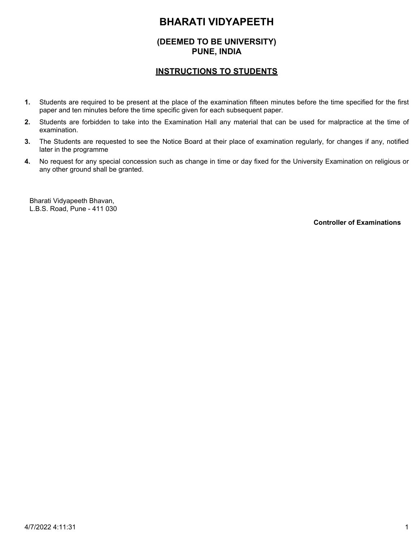# **(DEEMED TO BE UNIVERSITY) PUNE, INDIA**

## **INSTRUCTIONS TO STUDENTS**

- Students are required to be present at the place of the examination fifteen minutes before the time specified for the first paper and ten minutes before the time specific given for each subsequent paper. **1.**
- Students are forbidden to take into the Examination Hall any material that can be used for malpractice at the time of examination. **2.**
- The Students are requested to see the Notice Board at their place of examination regularly, for changes if any, notified later in the programme **3.**
- No request for any special concession such as change in time or day fixed for the University Examination on religious or any other ground shall be granted. **4.**

Bharati Vidyapeeth Bhavan, L.B.S. Road, Pune - 411 030

**Controller of Examinations**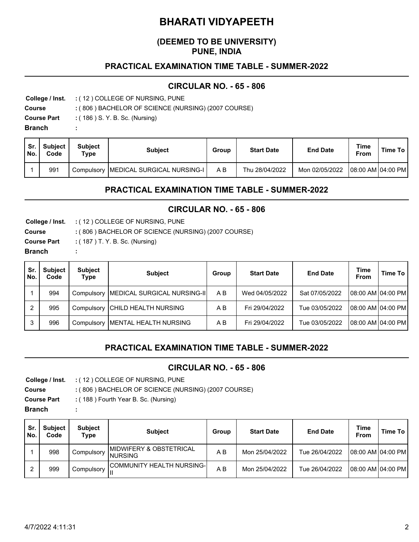## **(DEEMED TO BE UNIVERSITY) PUNE, INDIA**

### **PRACTICAL EXAMINATION TIME TABLE - SUMMER-2022**

#### **CIRCULAR NO. - 65 - 806**

**College / Inst.** ( 12 ) COLLEGE OF NURSING, PUNE **:**

**Course** ( 806 ) BACHELOR OF SCIENCE (NURSING) (2007 COURSE) **:**

**Course Part** : (186 ) S. Y. B. Sc. (Nursing)

**:**

**Branch** 

| Sr.<br>No. | <b>Subject</b><br>Code | Subiect<br>$\tau_\mathsf{ype}$ | <b>Subject</b>                          | Group | <b>Start Date</b> | <b>End Date</b> | Time<br><b>From</b> | <b>Time To</b> |
|------------|------------------------|--------------------------------|-----------------------------------------|-------|-------------------|-----------------|---------------------|----------------|
|            | 991                    |                                | Compulsory   MEDICAL SURGICAL NURSING-I | ΑB    | Thu 28/04/2022    | Mon 02/05/2022  | 08:00 AM   04:00 PM |                |

## **PRACTICAL EXAMINATION TIME TABLE - SUMMER-2022**

#### **CIRCULAR NO. - 65 - 806**

**College / Inst.** ( 12 ) COLLEGE OF NURSING, PUNE **: Course Part :** ( 187 ) T. Y. B. Sc. (Nursing) **Course** ( 806 ) BACHELOR OF SCIENCE (NURSING) (2007 COURSE) **: Branch :**

| Sr.<br>No. | <b>Subject</b><br>Code | <b>Subject</b><br>Type | <b>Subject</b>               | Group | <b>Start Date</b> | <b>End Date</b> | <b>Time</b><br><b>From</b> | Time To             |
|------------|------------------------|------------------------|------------------------------|-------|-------------------|-----------------|----------------------------|---------------------|
|            | 994                    | Compulsory             | MEDICAL SURGICAL NURSING-II  | A B   | Wed 04/05/2022    | Sat 07/05/2022  |                            | 108:00 AM104:00 PM1 |
|            | 995                    | Compulsory             | <b>CHILD HEALTH NURSING</b>  | A B   | Fri 29/04/2022    | Tue 03/05/2022  |                            | 108:00 AM104:00 PM1 |
| 3          | 996                    | Compulsory             | <b>MENTAL HEALTH NURSING</b> | A B   | Fri 29/04/2022    | Tue 03/05/2022  |                            | 108:00 AM104:00 PM1 |

# **PRACTICAL EXAMINATION TIME TABLE - SUMMER-2022**

#### **CIRCULAR NO. - 65 - 806**

**College / Inst.** ( 12 ) COLLEGE OF NURSING, PUNE **:**

**Course** ( 806 ) BACHELOR OF SCIENCE (NURSING) (2007 COURSE) **:**

**Course Part** ( 188 ) Fourth Year B. Sc. (Nursing) **:**

**:**

**Branch** 

| Sr<br>No. | <b>Subject</b><br>Code | <b>Subject</b><br>Type | <b>Subject</b>                              | Group | <b>Start Date</b> | <b>End Date</b> | <b>Time</b><br>From | Time To |
|-----------|------------------------|------------------------|---------------------------------------------|-------|-------------------|-----------------|---------------------|---------|
|           | 998                    | Compulsory             | IMIDWIFERY & OBSTETRICAL<br><b>INURSING</b> | A B   | Mon 25/04/2022    | Tue 26/04/2022  | 08:00 AM 04:00 PM   |         |
|           | 999                    | Compulsory             | COMMUNITY HEALTH NURSING-I                  | A B   | Mon 25/04/2022    | Tue 26/04/2022  | 08:00 AM 04:00 PM   |         |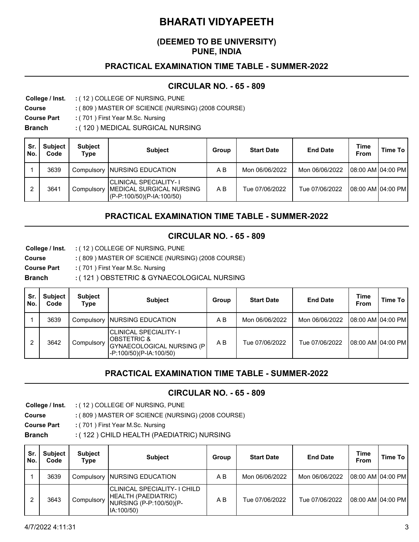## **(DEEMED TO BE UNIVERSITY) PUNE, INDIA**

# **PRACTICAL EXAMINATION TIME TABLE - SUMMER-2022**

### **CIRCULAR NO. - 65 - 809**

**College / Inst.** ( 12 ) COLLEGE OF NURSING, PUNE **:**

**Course** ( 809 ) MASTER OF SCIENCE (NURSING) (2008 COURSE) **:**

**Course Part** ( 701 ) First Year M.Sc. Nursing **:**

**Branch** ( 120 ) MEDICAL SURGICAL NURSING **:**

| Sr.<br>No. | <b>Subject</b><br>Code | <b>Subject</b><br>Type | <b>Subject</b>                                                                    | Group | <b>Start Date</b> | <b>End Date</b> | <b>Time</b><br>From | Time To |
|------------|------------------------|------------------------|-----------------------------------------------------------------------------------|-------|-------------------|-----------------|---------------------|---------|
|            | 3639                   | Compulsory             | INURSING EDUCATION                                                                | A B   | Mon 06/06/2022    | Mon 06/06/2022  | 108:00 AM104:00 PM  |         |
|            | 3641                   | Compulsory             | CLINICAL SPECIALITY- I<br> MEDICAL SURGICAL NURSING <br>(P-P:100/50)(P-IA:100/50) | A B   | Tue 07/06/2022    | Tue 07/06/2022  | 108:00 AM104:00 PM  |         |

# **PRACTICAL EXAMINATION TIME TABLE - SUMMER-2022**

#### **CIRCULAR NO. - 65 - 809**

**College / Inst.** ( 12 ) COLLEGE OF NURSING, PUNE **:**

**Course** ( 809 ) MASTER OF SCIENCE (NURSING) (2008 COURSE) **:**

**Course Part** ( 701 ) First Year M.Sc. Nursing **:**

**Branch** ( 121 ) OBSTETRIC & GYNAECOLOGICAL NURSING **:**

| Sr.<br>No. | <b>Subject</b><br>Code | <b>Subject</b><br>Type | <b>Subject</b>                                                                                                  | Group | <b>Start Date</b> | <b>End Date</b> | <b>Time</b><br>From | Time To |
|------------|------------------------|------------------------|-----------------------------------------------------------------------------------------------------------------|-------|-------------------|-----------------|---------------------|---------|
|            | 3639                   |                        | Compulsory NURSING EDUCATION                                                                                    | A B   | Mon 06/06/2022    | Mon 06/06/2022  | 08:00 AM 04:00 PM   |         |
|            | 3642                   | Compulsory             | <b>CLINICAL SPECIALITY-1</b><br><b>IOBSTETRIC &amp;</b><br>GYNAECOLOGICAL NURSING (P<br>-P:100/50)(P-IA:100/50) | A B   | Tue 07/06/2022    | Tue 07/06/2022  | 108:00 AM104:00 PM  |         |

# **PRACTICAL EXAMINATION TIME TABLE - SUMMER-2022**

#### **CIRCULAR NO. - 65 - 809**

**College / Inst.** ( 12 ) COLLEGE OF NURSING, PUNE **:**

**Course** ( 809 ) MASTER OF SCIENCE (NURSING) (2008 COURSE) **:**

**Course Part** ( 701 ) First Year M.Sc. Nursing **:**

**Branch** ( 122 ) CHILD HEALTH (PAEDIATRIC) NURSING **:**

| Sr.<br>No. | <b>Subject</b><br>Code | <b>Subject</b><br>Type | <b>Subject</b>                                                                               | Group | <b>Start Date</b> | <b>End Date</b> | <b>Time</b><br><b>From</b> | Time To |
|------------|------------------------|------------------------|----------------------------------------------------------------------------------------------|-------|-------------------|-----------------|----------------------------|---------|
|            | 3639                   |                        | Compulsory NURSING EDUCATION                                                                 | A B   | Mon 06/06/2022    | Mon 06/06/2022  | 108:00 AM104:00 PM         |         |
|            | 3643                   | Compulsory             | CLINICAL SPECIALITY- I CHILD<br>HEALTH (PAEDIATRIC)<br>NURSING (P-P:100/50)(P-<br>IA:100/50) | A B   | Tue 07/06/2022    | Tue 07/06/2022  | 108:00 AM104:00 PM         |         |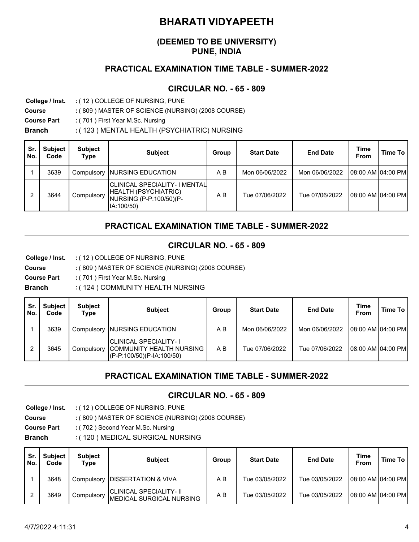### **(DEEMED TO BE UNIVERSITY) PUNE, INDIA**

## **PRACTICAL EXAMINATION TIME TABLE - SUMMER-2022**

## **CIRCULAR NO. - 65 - 809**

**College / Inst.** ( 12 ) COLLEGE OF NURSING, PUNE **:**

**Course** ( 809 ) MASTER OF SCIENCE (NURSING) (2008 COURSE) **:**

**Course Part** ( 701 ) First Year M.Sc. Nursing **:**

**Branch** ( 123 ) MENTAL HEALTH (PSYCHIATRIC) NURSING **:**

| Sr<br>No. | <b>Subject</b><br>Code | <b>Subject</b><br>Type | <b>Subject</b>                                                                                 | Group | <b>Start Date</b> | <b>End Date</b> | <b>Time</b><br>From | Time To |
|-----------|------------------------|------------------------|------------------------------------------------------------------------------------------------|-------|-------------------|-----------------|---------------------|---------|
|           | 3639                   | Compulsory             | <b>INURSING EDUCATION</b>                                                                      | A B   | Mon 06/06/2022    | Mon 06/06/2022  | 108:00 AM104:00 PM  |         |
| 2         | 3644                   | Compulsory             | CLINICAL SPECIALITY- I MENTAL<br>HEALTH (PSYCHIATRIC)<br>NURSING (P-P:100/50)(P-<br>IA:100/50) | A B   | Tue 07/06/2022    | Tue 07/06/2022  | 08:00 AM 04:00 PM   |         |

# **PRACTICAL EXAMINATION TIME TABLE - SUMMER-2022**

#### **CIRCULAR NO. - 65 - 809**

**College / Inst.** ( 12 ) COLLEGE OF NURSING, PUNE **:**

**Course** ( 809 ) MASTER OF SCIENCE (NURSING) (2008 COURSE) **:**

**Course Part** ( 701 ) First Year M.Sc. Nursing **:**

**Branch** ( 124 ) COMMUNITY HEALTH NURSING **:**

| Sr.<br>No. | <b>Subject</b><br>Code | <b>Subject</b><br>Type | <b>Subject</b>                                                                  | Group | <b>Start Date</b> | <b>End Date</b> | Time<br>From        | Time To |
|------------|------------------------|------------------------|---------------------------------------------------------------------------------|-------|-------------------|-----------------|---------------------|---------|
|            | 3639                   |                        | Compulsory NURSING EDUCATION                                                    | A B   | Mon 06/06/2022    | Mon 06/06/2022  | 108:00 AM 104:00 PM |         |
|            | 3645                   | Compulsory             | CLINICAL SPECIALITY- I<br>COMMUNITY HEALTH NURSING<br>(P-P:100/50)(P-IA:100/50) | A B   | Tue 07/06/2022    | Tue 07/06/2022  | 108:00 AM 104:00 PM |         |

# **PRACTICAL EXAMINATION TIME TABLE - SUMMER-2022**

#### **CIRCULAR NO. - 65 - 809**

**College / Inst.** ( 12 ) COLLEGE OF NURSING, PUNE **:**

**Course** ( 809 ) MASTER OF SCIENCE (NURSING) (2008 COURSE) **:**

- **Course Part** ( 702 ) Second Year M.Sc. Nursing **:**
- **Branch** ( 120 ) MEDICAL SURGICAL NURSING **:**

| Sr.<br>No. | <b>Subject</b><br>Code | <b>Subject</b><br>Type | <b>Subject</b>                                                     | Group | <b>Start Date</b> | <b>End Date</b> | Time<br>From        | Time To |
|------------|------------------------|------------------------|--------------------------------------------------------------------|-------|-------------------|-----------------|---------------------|---------|
|            | 3648                   |                        | Compulsory DISSERTATION & VIVA                                     | A B   | Tue 03/05/2022    | Tue 03/05/2022  | 08:00 AM 04:00 PM   |         |
|            | 3649                   | Compulsory             | <b>CLINICAL SPECIALITY- II</b><br><b>IMEDICAL SURGICAL NURSING</b> | A B   | Tue 03/05/2022    | Tue 03/05/2022  | 08:00 AM   04:00 PM |         |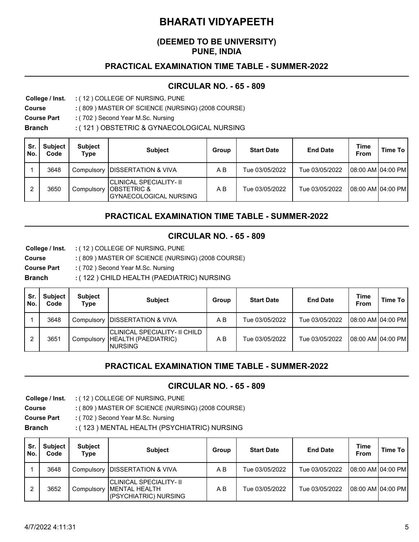## **(DEEMED TO BE UNIVERSITY) PUNE, INDIA**

## **PRACTICAL EXAMINATION TIME TABLE - SUMMER-2022**

#### **CIRCULAR NO. - 65 - 809**

**College / Inst.** ( 12 ) COLLEGE OF NURSING, PUNE **:**

**Course** ( 809 ) MASTER OF SCIENCE (NURSING) (2008 COURSE) **:**

**Course Part** ( 702 ) Second Year M.Sc. Nursing **:**

**Branch** ( 121 ) OBSTETRIC & GYNAECOLOGICAL NURSING **:**

| Sr.<br>No. | <b>Subject</b><br>Code | <b>Subject</b><br>Type | <b>Subject</b>                                                                      | Group | <b>Start Date</b> | <b>End Date</b> | <b>Time</b><br>From | Time To |
|------------|------------------------|------------------------|-------------------------------------------------------------------------------------|-------|-------------------|-----------------|---------------------|---------|
|            | 3648                   | Compulsory             | <b>DISSERTATION &amp; VIVA</b>                                                      | A B   | Tue 03/05/2022    | Tue 03/05/2022  | 108:00 AM104:00 PM  |         |
| 2          | 3650                   | Compulsory             | CLINICAL SPECIALITY- II <br><b>OBSTETRIC &amp;</b><br><b>GYNAECOLOGICAL NURSING</b> | ΑB    | Tue 03/05/2022    | Tue 03/05/2022  | 108:00 AM104:00 PM  |         |

## **PRACTICAL EXAMINATION TIME TABLE - SUMMER-2022**

#### **CIRCULAR NO. - 65 - 809**

**College / Inst.** ( 12 ) COLLEGE OF NURSING, PUNE **:**

**Course** ( 809 ) MASTER OF SCIENCE (NURSING) (2008 COURSE) **:**

**Course Part** ( 702 ) Second Year M.Sc. Nursing **:**

**Branch** ( 122 ) CHILD HEALTH (PAEDIATRIC) NURSING **:**

| Sr.<br>No. | <b>Subject</b><br>Code | <b>Subject</b><br>Type | <b>Subject</b>                                                   | Group | <b>Start Date</b> | <b>End Date</b> | <b>Time</b><br>From | Time To             |
|------------|------------------------|------------------------|------------------------------------------------------------------|-------|-------------------|-----------------|---------------------|---------------------|
|            | 3648                   | Compulsory             | <b>IDISSERTATION &amp; VIVA</b>                                  | A B   | Tue 03/05/2022    | Tue 03/05/2022  |                     | 108:00 AM 104:00 PM |
|            | 3651                   | Compulsory             | CLINICAL SPECIALITY- II CHILD<br>HEALTH (PAEDIATRIC)<br>INURSING | A B   | Tue 03/05/2022    | Tue 03/05/2022  |                     | 108:00 AM104:00 PM  |

# **PRACTICAL EXAMINATION TIME TABLE - SUMMER-2022**

#### **CIRCULAR NO. - 65 - 809**

**College / Inst.** ( 12 ) COLLEGE OF NURSING, PUNE **:**

**Course** ( 809 ) MASTER OF SCIENCE (NURSING) (2008 COURSE) **:**

**Course Part** ( 702 ) Second Year M.Sc. Nursing **:**

**Branch** ( 123 ) MENTAL HEALTH (PSYCHIATRIC) NURSING **:**

| Sr.<br>No. | <b>Subject</b><br>Code | <b>Subject</b><br>Type | <b>Subject</b>                                                             | Group | <b>Start Date</b> | <b>End Date</b> | <b>Time</b><br>From | Time To |
|------------|------------------------|------------------------|----------------------------------------------------------------------------|-------|-------------------|-----------------|---------------------|---------|
|            | 3648                   | Compulsory             | <b>IDISSERTATION &amp; VIVA</b>                                            | A B   | Tue 03/05/2022    | Tue 03/05/2022  | 08:00 AM 04:00 PM   |         |
|            | 3652                   | Compulsory             | CLINICAL SPECIALITY- II <br><b>IMENTAL HEALTH</b><br>(PSYCHIATRIC) NURSING | A B   | Tue 03/05/2022    | Tue 03/05/2022  | 08:00 AM 04:00 PM   |         |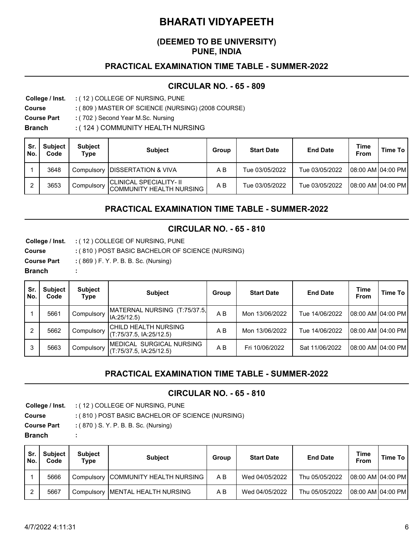### **(DEEMED TO BE UNIVERSITY) PUNE, INDIA**

### **PRACTICAL EXAMINATION TIME TABLE - SUMMER-2022**

#### **CIRCULAR NO. - 65 - 809**

**College / Inst.** ( 12 ) COLLEGE OF NURSING, PUNE **:**

**Course** ( 809 ) MASTER OF SCIENCE (NURSING) (2008 COURSE) **:**

**Course Part** ( 702 ) Second Year M.Sc. Nursing **:**

**Branch** ( 124 ) COMMUNITY HEALTH NURSING **:**

| Sr.<br>No. | <b>Subject</b><br>Code | <b>Subject</b><br>Type | <b>Subject</b>                                             | Group | <b>Start Date</b> | <b>End Date</b> | <b>Time</b><br><b>From</b> | Time To |
|------------|------------------------|------------------------|------------------------------------------------------------|-------|-------------------|-----------------|----------------------------|---------|
|            | 3648                   | Compulsory             | <b>IDISSERTATION &amp; VIVA</b>                            | ΑB    | Tue 03/05/2022    | Tue 03/05/2022  | 08:00 AM 04:00 PM          |         |
| റ          | 3653                   | Compulsory             | <b>CLINICAL SPECIALITY- II</b><br>COMMUNITY HEALTH NURSING | A B   | Tue 03/05/2022    | Tue 03/05/2022  | 08:00 AM 04:00 PM          |         |

#### **PRACTICAL EXAMINATION TIME TABLE - SUMMER-2022**

#### **CIRCULAR NO. - 65 - 810**

**College / Inst.** ( 12 ) COLLEGE OF NURSING, PUNE **:**

**Course** ( 810 ) POST BASIC BACHELOR OF SCIENCE (NURSING) **:**

**Course Part :** ( 869 ) F. Y. P. B. B. Sc. (Nursing)

**:**

**Branch** 

| Sr.<br>No. | <b>Subject</b><br>Code | <b>Subject</b><br>Type | <b>Subject</b>                                      | Group | <b>Start Date</b> | <b>End Date</b> | <b>Time</b><br>From | Time To |
|------------|------------------------|------------------------|-----------------------------------------------------|-------|-------------------|-----------------|---------------------|---------|
|            | 5661                   | Compulsory             | MATERNAL NURSING (T:75/37.5,<br>IA:25/12.5)         | A B   | Mon 13/06/2022    | Tue 14/06/2022  | 08:00 AM 04:00 PM   |         |
|            | 5662                   | Compulsory             | CHILD HEALTH NURSING<br>(T:75/37.5, IA:25/12.5)     | A B   | Mon 13/06/2022    | Tue 14/06/2022  | 08:00 AM 04:00 PM   |         |
|            | 5663                   | Compulsory             | MEDICAL SURGICAL NURSING<br>(T:75/37.5, IA:25/12.5) | A B   | Fri 10/06/2022    | Sat 11/06/2022  | 08:00 AM 04:00 PM   |         |

# **PRACTICAL EXAMINATION TIME TABLE - SUMMER-2022**

#### **CIRCULAR NO. - 65 - 810**

- **College / Inst.** ( 12 ) COLLEGE OF NURSING, PUNE **:**
- **Course** ( 810 ) POST BASIC BACHELOR OF SCIENCE (NURSING) **:**
- **Course Part :(** 870 ) S. Y. P. B. B. Sc. (Nursing)

**:**

**Branch** 

| Sr.<br>No. | <b>Subject</b><br>Code | <b>Subject</b><br>Type | <b>Subject</b>                      | Group | <b>Start Date</b> | <b>End Date</b> | Time<br><b>From</b> | Time To |
|------------|------------------------|------------------------|-------------------------------------|-------|-------------------|-----------------|---------------------|---------|
|            | 5666                   |                        | Compulsory COMMUNITY HEALTH NURSING | A B   | Wed 04/05/2022    | Thu 05/05/2022  | 08:00 AM 04:00 PM   |         |
|            | 5667                   |                        | Compulsory   MENTAL HEALTH NURSING  | ΑB    | Wed 04/05/2022    | Thu 05/05/2022  | 108:00 AM104:00 PM  |         |